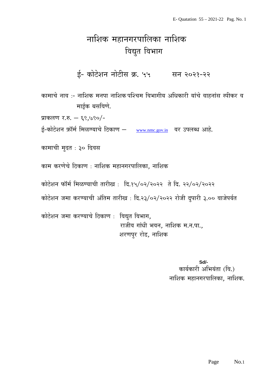# नाशिक महानगरपालिका नाशिक विद्युत विभाग

ई- कोटेशन नोटीस क्र. ५५ सन २०२१-२२

कामाचे नाव :- नाशिक मनपा नाशिक पश्चिम विभागीय अधिकारी यांचे वाहनांस स्पीकर व माईक बसविणे.

प्राकलण र.रु. – ६९,७९०/-

ई-कोटेशन फ़ॉर्म मिळण्याचे ठिकाण – [www.nmc.gov.in](http://www.nmc.gov.in/) वर उपलब्ध आहे.

कामाची मुदत : ३० दिवस

काम करणेचे ठिकाण : नाशिक महानगरपालिका, नाशिक

कोटेशन फॉर्म मिळण्याची तारीख: दि.१५/०२/२०२२ ते दि. २२/०२/२०२२

कोटेशन जमा करण्याची अंतिम तारीख : दि.२३/०२/२०२२ रोजी दुपारी ३.०० वाजेपर्यत

कोटेशन जमा करण्याचे ठिकाण : विद्युत विभाग, राजीव गांधी भवन, नाशिक म.न.पा., शरणपुर रोड, नाशिक

> **Sd/-** कार्यकारी अभियंता (वि.) नाशिक महानगरपालिका, नाशिक.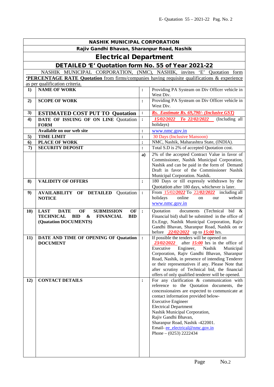| <b>NASHIK MUNICIPAL CORPORATION</b>         |                                                                                                                                                                               |                |                                                                                                                                                                                                                                                                                                                                                                                                           |  |  |
|---------------------------------------------|-------------------------------------------------------------------------------------------------------------------------------------------------------------------------------|----------------|-----------------------------------------------------------------------------------------------------------------------------------------------------------------------------------------------------------------------------------------------------------------------------------------------------------------------------------------------------------------------------------------------------------|--|--|
| Rajiv Gandhi Bhavan, Sharanpur Road, Nashik |                                                                                                                                                                               |                |                                                                                                                                                                                                                                                                                                                                                                                                           |  |  |
| <b>Electrical Department</b>                |                                                                                                                                                                               |                |                                                                                                                                                                                                                                                                                                                                                                                                           |  |  |
|                                             | DETAILED 'E' Quotation form No. 55 of Year 2021-22                                                                                                                            |                |                                                                                                                                                                                                                                                                                                                                                                                                           |  |  |
|                                             | NASHIK MUNICIPAL CORPORATION, (NMC), NASHIK, invites 'E' Quotation form                                                                                                       |                |                                                                                                                                                                                                                                                                                                                                                                                                           |  |  |
|                                             | <b>PERCENTAGE RATE Quotation</b> from firms/companies having requisite qualifications & experience                                                                            |                |                                                                                                                                                                                                                                                                                                                                                                                                           |  |  |
|                                             | as per qualification criteria.<br><b>NAME OF WORK</b>                                                                                                                         |                | Providing PA Systeam on Div Officer vehicle in                                                                                                                                                                                                                                                                                                                                                            |  |  |
| 1)                                          |                                                                                                                                                                               | :              | West Div.                                                                                                                                                                                                                                                                                                                                                                                                 |  |  |
| 2)                                          | <b>SCOPE OF WORK</b>                                                                                                                                                          | $\ddot{\cdot}$ | Providing PA Systeam on Div Officer vehicle in<br>West Div.                                                                                                                                                                                                                                                                                                                                               |  |  |
| 3)                                          | <b>ESTIMATED COST PUT TO Quotation</b>                                                                                                                                        | $\ddot{\cdot}$ | Rs. Eastimate Rs. 69,790/- (Inclusive GST)                                                                                                                                                                                                                                                                                                                                                                |  |  |
| 4)                                          | DATE OF ISSUING OF ON LINE Quotation<br><b>FORM</b>                                                                                                                           | :              | 15/02/2022 To 22/02/2022 (Including all<br>holidays)                                                                                                                                                                                                                                                                                                                                                      |  |  |
|                                             | Available on our web site                                                                                                                                                     | $\ddot{\cdot}$ | www.nmc.gov.in                                                                                                                                                                                                                                                                                                                                                                                            |  |  |
| 5)                                          | <b>TIME LIMIT</b>                                                                                                                                                             | $\ddot{\cdot}$ | 30 Days (Inclusive Mansoon)                                                                                                                                                                                                                                                                                                                                                                               |  |  |
| 6)                                          | <b>PLACE OF WORK</b>                                                                                                                                                          | $\ddot{\cdot}$ | NMC, Nashik, Maharashtra State, (INDIA).                                                                                                                                                                                                                                                                                                                                                                  |  |  |
| 7)                                          | <b>SECURITY DEPOSIT</b>                                                                                                                                                       | $\ddot{\cdot}$ | Total S.D is 2% of accepted Quotation cost.                                                                                                                                                                                                                                                                                                                                                               |  |  |
|                                             |                                                                                                                                                                               | a)             | 2% of the accepted Contract Value in favor of<br>Commissioner, Nashik Municipal Corporation,<br>Nashik and can be paid in the form of Demand<br>Draft in favor of the Commissioner Nashik<br>Municipal Corporation. Nashik.                                                                                                                                                                               |  |  |
| 8)                                          | <b>VALIDITY OF OFFERS</b>                                                                                                                                                     | $\ddot{\cdot}$ | 180 Days or till expressly withdrawn by the<br>Quotation after 180 days, whichever is later.                                                                                                                                                                                                                                                                                                              |  |  |
| 9)                                          | <b>AVAILABILITY OF DETAILED</b><br>Quotation<br><b>NOTICE</b>                                                                                                                 | $\ddot{\cdot}$ | From 15/02/2022 To 22/02/2022 including all<br>online<br>holidays<br>website<br>our<br>on<br>www.nmc.gov.in                                                                                                                                                                                                                                                                                               |  |  |
| 10)                                         | <b>LAST</b><br><b>DATE</b><br>OF<br><b>SUBMISSION</b><br>OF<br><b>TECHNICAL</b><br><b>BID</b><br>$\boldsymbol{\&}$<br><b>FINANCIAL</b><br><b>BID</b><br>(Quatation DOCUMENTS) | $\cdot$        | documents (Technical<br>Quotation<br>bid $\&$<br>Financial bid) shall be submitted in the office of<br>Ex.Engr, Nashik Municipal Corporation, Rajiv<br>Gandhi Bhavan, Sharanpur Road, Nashik on or<br>before $\frac{22}{02}{2222}$ up to $\frac{15:00}{2}$ hrs.                                                                                                                                           |  |  |
| 11)                                         | DATE AND TIME OF OPENING OF Quatation<br><b>DOCUMENT</b>                                                                                                                      | $\ddot{\cdot}$ | If possible the tenders will be opened on<br>$23/02/2022$ after 15:00 hrs in the office of<br>Executive<br>Nashik<br>Engineer,<br>Municipal<br>Corporation, Rajiv Gandhi Bhavan, Sharanpur<br>Road, Nashik, in presence of intending Tenderer<br>or their representatives if any. Please Note that<br>after scrutiny of Technical bid, the financial<br>offers of only qualified tenderer will be opened. |  |  |
| 12)                                         | <b>CONTACT DETAILS</b>                                                                                                                                                        | :              | For any clarification & communication with<br>reference to the Quotation documents, the<br>concessionaires are expected to communicate at<br>contact information provided below-<br><b>Executive Engineer</b><br><b>Electrical Department</b><br>Nashik Municipal Corporation,<br>Rajiv Gandhi Bhavan,<br>Sharanpur Road, Nashik -422001.<br>Email-ee electrical@nmc.gov.in<br>Phone $- (0253)$ 2222434   |  |  |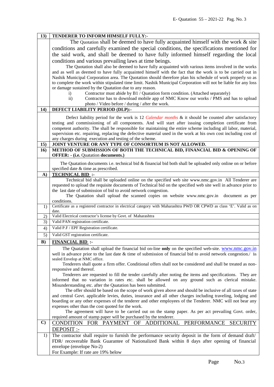| 13)          | TENDERER TO INFORM HIMSELF FULLY:-                                                                                                                                                                            |
|--------------|---------------------------------------------------------------------------------------------------------------------------------------------------------------------------------------------------------------|
|              | The Quotation shall be deemed to have fully acquainted himself with the work $\&$ site                                                                                                                        |
|              | conditions and carefully examined the special conditions, the specifications mentioned for                                                                                                                    |
|              | the said work, and shall be deemed to have fully informed himself regarding the local                                                                                                                         |
|              | conditions and various prevailing laws at time beings.                                                                                                                                                        |
|              | The Quotation shall also be deemed to have fully acquainted with various items involved in the works                                                                                                          |
|              | and as well as deemed to have fully acquainted himself with the fact that the work is to be carried out in                                                                                                    |
|              | Nashik Municipal Corporation area. The Quotation should therefore plan his schedule of work properly so as                                                                                                    |
|              | to complete the work within stipulated time limit. Nashik Municipal Corporation will not be liable for any loss                                                                                               |
|              | or damage sustained by the Quatation due to any reason.                                                                                                                                                       |
|              | Contractor must abide by B1 / Quatation form condition. (Attached separately)<br>$\mathbf{i}$                                                                                                                 |
|              | Contractor has to download mobile app of NMC Know our works / PMS and has to upload<br>$\overline{11}$ )                                                                                                      |
|              | photo / Video before / during / after the work.                                                                                                                                                               |
| 14)          | <b>DEFECT LIABILITY PERIOD (DLP):-</b>                                                                                                                                                                        |
|              | Defect liability period for the work is 12 <i>Calendar months &amp;</i> it should be counted after satisfactory                                                                                               |
|              | testing and commissioning of all components. And will start after issuing completion certificate from                                                                                                         |
|              | competent authority. The shall be responsible for maintaining the entire scheme including all labor, material,                                                                                                |
|              | supervision etc. repairing, replacing the defective material used in the work at his own cost including cost of                                                                                               |
|              | any charges during execution and testing of the scheme.                                                                                                                                                       |
| 15)          | JOINT VENTURE OR ANY TYPE OF CONSORTIUM IS NOT ALLOWED.                                                                                                                                                       |
| 16)          | METHOD OF SUBMISSION OF BOTH THE TECHNICAL BID, FINANCIAL BID & OPENING OF                                                                                                                                    |
|              | <b>OFFER: - (i.e. Quatation documents.)</b>                                                                                                                                                                   |
|              | The Quatation documents i.e. technical bid & financial bid both shall be uploaded only online on or before                                                                                                    |
|              | specified date & time as prescribed.                                                                                                                                                                          |
| $\mathbf{A}$ | <b>TECHNICAL BID:</b>                                                                                                                                                                                         |
|              | Technical bid shall be uploaded online on the specified web site www.nmc.gov.in All Tenderer are                                                                                                              |
|              | requested to upload the requisite documents of Technical bid on the specified web site well in advance prior to                                                                                               |
|              | the last date of submission of bid to avoid network congestion.                                                                                                                                               |
|              | The Quatation shall upload the scanned copies on website www.nmc.gov.in<br>document as per                                                                                                                    |
|              | conditions.<br>Certificate as a registered contractor in electrical category with Maharashtra PWD OR CPWD as class 'E'. Valid as on                                                                           |
| 1)           | date.                                                                                                                                                                                                         |
| 2)           | Valid Electrical contractor's license by Govt. of Maharashtra                                                                                                                                                 |
| 3)           | Valid PAN registration certificate.                                                                                                                                                                           |
| 4)           | Valid P.F / EPF Registration certificate.                                                                                                                                                                     |
| 5)           | Valid GST registration certificate.                                                                                                                                                                           |
| B)           | <b>FINANCIAL BID:</b>                                                                                                                                                                                         |
|              | The Quatation shall upload the financial bid on-line only on the specified web-site. www.nmc.gov.in                                                                                                           |
|              | well in advance prior to the last date & time of submission of financial bid to avoid network congestion./ In                                                                                                 |
|              | sealed Envelop at NMC office.                                                                                                                                                                                 |
|              | Tenderers shall quote a firm offer. Conditional offers shall not be considered and shall be treated as non-                                                                                                   |
|              | responsive and thereof.                                                                                                                                                                                       |
|              | Tenderers are requested to fill the tender carefully after noting the items and specifications. They are<br>informed that no variation in rates etc. shall be allowed on any ground such as clerical mistake. |
|              | Misunderstanding etc. after the Quatation has been submitted.                                                                                                                                                 |
|              | The offer should be based on the scope of work given above and should be inclusive of all taxes of state                                                                                                      |
|              | and central Govt. applicable levies, duties, insurance and all other charges including traveling, lodging and                                                                                                 |
|              | boarding or any other expenses of the tenderer and other employees of the Tenderer. NMC will not bear any                                                                                                     |
|              | expenses other than the cost quoted for the work.                                                                                                                                                             |
|              | The agreement will have to be carried out on the stamp paper. As per act prevailing Govt. order,                                                                                                              |
|              | required amount of stamp paper will be purchased by the tenderer.                                                                                                                                             |
| $\mathbf{C}$ | CONDITION FOR PAYMENT OF ADDITIONAL PERFORMANCE<br>SECURITY                                                                                                                                                   |
|              | DEPOSIT :-                                                                                                                                                                                                    |
| 1)           | The contractor shall require to furnish the performance security deposit in the form of demand draft/                                                                                                         |
|              | FDR/ recoverable Bank Guarantee of Nationalized Bank within 8 days after opening of financial                                                                                                                 |
|              | envelope (envelope No-2)                                                                                                                                                                                      |
|              | For Example: If rate are 19% below                                                                                                                                                                            |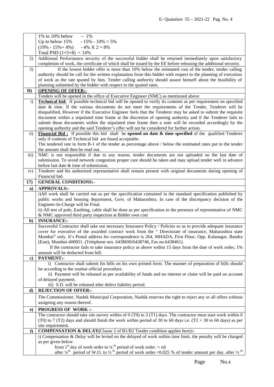|                   | 1% to 10% below<br>$-1\%$                                                                                                                                                 |
|-------------------|---------------------------------------------------------------------------------------------------------------------------------------------------------------------------|
|                   | $-15\% - 10\% = 5\%$<br>Up to below 15%                                                                                                                                   |
|                   | $(19\% - 15\% = 4\%)$<br>$-4\% \text{ X } 2 = 8\%$                                                                                                                        |
|                   | Total PSD $(1+5+8) = 14\%$                                                                                                                                                |
| 2)                | Additional Performance security of the successful bidder shall be returned immediately upon satisfactory                                                                  |
|                   | completion of work, the certificate of which shall be issued by the EE before releasing the additional security.                                                          |
| 3)                | If the lowest bidder offer is more than 10% below the estimated cost of the tender, tender calling                                                                        |
|                   | authority should be call for the written explanation from this bidder with respect to the planning of execution                                                           |
|                   | of work as the rate quoted by him. Tender calling authority should assure himself about the feasibility of                                                                |
|                   | planning submitted by the bidder with respect to the quoted rates.                                                                                                        |
| D)                | <b>OPENING OF OFFER:-</b>                                                                                                                                                 |
|                   | Tenders will be opened in the office of Executive Engineer (NMC) as mentioned above                                                                                       |
| $\mathbf{i}$      | <b>Technical bid:</b> If possible technical bid will be opened to verify its contents as per requirement on specified                                                     |
|                   | date & time. If the various documents do not meet the requirements of the Tender, Tenderer will be                                                                        |
|                   | disqualified, However if the Executive Engineer feels that the Tenderer may be asked to submit the requisite                                                              |
|                   | document within a stipulated time frame at the discretion of opening authority and if the Tenderer fails to                                                               |
|                   | submit those documents within the stipulated time frame then a note will be recorded accordingly by the                                                                   |
|                   | opening authority and the said Tenderer's offer will not be considered for further action.                                                                                |
| $\overline{11}$ ) | Financial Bid: If possible this bid shall be opened on date $\&$ time specified of the qualified Tenderer                                                                 |
|                   | only if contents of Technical bid are found acceptable.                                                                                                                   |
|                   | The tendered rate in form B-1 of the tender as percentage above / below the estimated rates put to the tender                                                             |
|                   | the amount shall then be read out.                                                                                                                                        |
| iii)              | NMC is not responsible if due to any reason, tender documents are not uploaded on the last date of                                                                        |
|                   | submission. To avoid network congestion proper care should be taken and may upload tender well in advance                                                                 |
|                   | before last date & time of submission.                                                                                                                                    |
| iv)               | Tenderer and his authorized representative shall remain present with original documents during opening of                                                                 |
|                   | Financial bid.                                                                                                                                                            |
| 17)               | <b>GENERAL CONDITIONS:-</b>                                                                                                                                               |
| a)                | <b>APPROVALS:-</b>                                                                                                                                                        |
|                   | i)All work shall be carried out as per the specification contained in the standard specification published by                                                             |
|                   | public works and housing department, Govt. of Maharashtra. In case of the discrepancy decision of the                                                                     |
|                   | Engineer-In-Charge will be Final.                                                                                                                                         |
|                   | ii) All test of pole, Earthing, cable shall be done as per specification in the presence of representative of NMC                                                         |
|                   | & NMC approved third party inspection at Bidder own cost                                                                                                                  |
| $\mathbf{b}$      | <b>INSURANCE:-</b>                                                                                                                                                        |
|                   | Successful Contractor shall take out necessary Insurance Policy / Policies so as to provide adequate insurance                                                            |
|                   | cover for executive of the awarded contract work from the " Directorate of insurance, Maharashtra state                                                                   |
|                   | Mumbai" only. It's Postal address for correspondence is 264, MHADA, First Floor, Opp. Kalanagar, Bandra                                                                   |
|                   | (East), Mumbai-400051. (Telephone nos. 6438690/6438746, Fax no.6438461).                                                                                                  |
|                   | If the contractor fails to take insurance policy as above within 15 days from the date of work order, 1%                                                                  |
|                   | amount will be deducted from bill.                                                                                                                                        |
| $\mathbf{c}$      | PAYMENT:-                                                                                                                                                                 |
|                   | i) Contractor shall submit his bills on his own printed form. The manner of preparation of bills should                                                                   |
|                   | be according to the routine official procedure.                                                                                                                           |
|                   | ii) Payment will be released as per availability of funds and no interest or claim will be paid on account                                                                |
|                   | of delayed payment.                                                                                                                                                       |
|                   | iii) S.D. will be released after defect liability period.                                                                                                                 |
| d)                | <b>REJECTION OF OFFER:-</b>                                                                                                                                               |
|                   | The Commissioner, Nashik Municipal Corporation, Nashik reserves the right to reject any or all offers without                                                             |
|                   | assigning any reason thereof.                                                                                                                                             |
| $\bf e)$          | <b>PROGRESS OF WORK:-</b>                                                                                                                                                 |
|                   | The contractor should take site survey within of $0$ (T0) to $3$ (T1) days. The contractor must start work within $0$                                                     |
|                   | (T0) to 7 (T2) days and should finish the work within period of 30 to 60 days i.e. $(T2 + 30)$ to 60 days) as per                                                         |
|                   | site requirement.                                                                                                                                                         |
| f                 | <b>COMPENSATION &amp; DELAY</b> (Clause 2 of B1/B2 Tender condition applies here):-                                                                                       |
|                   | i) Compensation & Delay will be levied on the delayed of work within time limit, the penalty will be charged                                                              |
|                   | as per given below                                                                                                                                                        |
|                   | from 1 <sup>st</sup> day of work order to $\frac{1}{4}$ <sup>th</sup> period of work order. = nil                                                                         |
|                   | after $\frac{1}{4}$ <sup>th</sup> period of W.O. to $\frac{1}{2}$ <sup>th</sup> period of work order.=0.025 % of tender amount per day. after $\frac{1}{2}$ <sup>th</sup> |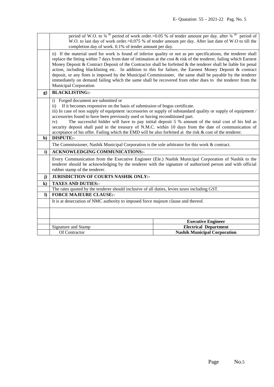|              | period of W.O. to $\frac{3}{4}$ <sup>th</sup> period of work order.=0.05 % of tender amount per day. after $\frac{3}{4}$ <sup>th</sup> period of<br>W.O. to last day of work order.=0.075 % of tender amount per day. After last date of W.O to till the<br>completion day of work. 0.1% of tender amount per day.                                                                                                                                                                                                                                                                                                                                                                                                                   |                                     |  |
|--------------|--------------------------------------------------------------------------------------------------------------------------------------------------------------------------------------------------------------------------------------------------------------------------------------------------------------------------------------------------------------------------------------------------------------------------------------------------------------------------------------------------------------------------------------------------------------------------------------------------------------------------------------------------------------------------------------------------------------------------------------|-------------------------------------|--|
|              | ii) If the material used for work is found of inferior quality or not as per specifications, the tenderer shall<br>replace the fitting within 7 days from date of intimation at the cost $\&$ risk of the tenderer, failing which Earnest<br>Money Deposit & Contract Deposit of the Contractor shall be forfeited $\&$ the tenderer shall be liable for penal<br>action, including blacklisting etc. In addition to this for failure, the Earnest Money Deposit & contract<br>deposit, or any fines is imposed by the Municipal Commissioner, the same shall be payable by the tenderer<br>immediately on demand failing which the same shall be recovered from other dues to the tenderer from the<br><b>Municipal Corporation</b> |                                     |  |
| g)           | <b>BLACKLISTING:-</b>                                                                                                                                                                                                                                                                                                                                                                                                                                                                                                                                                                                                                                                                                                                |                                     |  |
|              | i) Forged document are submitted or<br>If it becomes responsive on the basis of submission of bogus certificate.<br>$\mathbf{ii}$<br>iii) In case of non supply of equipment /accessories or supply of substandard quality or supply of equipment /<br>accessories found to have been previously used or having reconditioned part.<br>The successful bidder will have to pay initial deposit 5 % amount of the total cost of his bid as<br>iv)<br>security deposit shall paid in the treasury of N.M.C. within 10 days from the date of communication of<br>acceptance of his offer. Failing which the EMD will be also forfeited at the risk $\&$ cost of the tenderer.                                                            |                                     |  |
| h)           | <b>DISPUTE:-</b>                                                                                                                                                                                                                                                                                                                                                                                                                                                                                                                                                                                                                                                                                                                     |                                     |  |
|              | The Commissioner, Nashik Municipal Corporation is the sole arbitrator for this work & contract.                                                                                                                                                                                                                                                                                                                                                                                                                                                                                                                                                                                                                                      |                                     |  |
| $\mathbf{i}$ | <b>ACKNOWLEDGING COMMUNICATIONS:-</b>                                                                                                                                                                                                                                                                                                                                                                                                                                                                                                                                                                                                                                                                                                |                                     |  |
|              | Every Communication from the Executive Engineer (Ele.) Nashik Municipal Corporation of Nashik to the<br>tenderer should be acknowledging by the tenderer with the signature of authorized person and with official<br>rubber stamp of the tenderer.                                                                                                                                                                                                                                                                                                                                                                                                                                                                                  |                                     |  |
| j)           | <b>JURISDICTION OF COURTS NASHIK ONLY:-</b>                                                                                                                                                                                                                                                                                                                                                                                                                                                                                                                                                                                                                                                                                          |                                     |  |
| $\bf k)$     | <b>TAXES AND DUTIES:-</b>                                                                                                                                                                                                                                                                                                                                                                                                                                                                                                                                                                                                                                                                                                            |                                     |  |
|              | The rates quoted by the tenderer should inclusive of all duties, levies taxes including GST.                                                                                                                                                                                                                                                                                                                                                                                                                                                                                                                                                                                                                                         |                                     |  |
| $\bf{D}$     | <b>FORCE MAJEURE CLAUSE:-</b>                                                                                                                                                                                                                                                                                                                                                                                                                                                                                                                                                                                                                                                                                                        |                                     |  |
|              | It is at desecration of NMC authority to imposed force majeure clause and thereof.                                                                                                                                                                                                                                                                                                                                                                                                                                                                                                                                                                                                                                                   |                                     |  |
|              |                                                                                                                                                                                                                                                                                                                                                                                                                                                                                                                                                                                                                                                                                                                                      |                                     |  |
|              |                                                                                                                                                                                                                                                                                                                                                                                                                                                                                                                                                                                                                                                                                                                                      | <b>Executive Engineer</b>           |  |
|              | Signature and Stamp                                                                                                                                                                                                                                                                                                                                                                                                                                                                                                                                                                                                                                                                                                                  | <b>Electrical Department</b>        |  |
|              | Of Contractor                                                                                                                                                                                                                                                                                                                                                                                                                                                                                                                                                                                                                                                                                                                        | <b>Nashik Municipal Corporation</b> |  |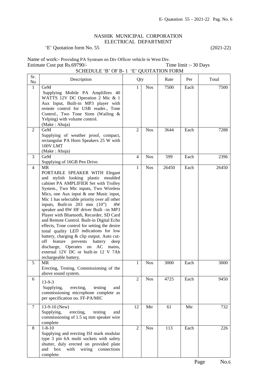## NASHIK MUNICIPAL CORPORATION ELECTRICAL DEPARTMENT

# 'E' Quotation form No. 55 (2021-22)

| Name of work:- Providing PA Systeam on Div Officer vehicle in West Div. |  |  |                       |  |
|-------------------------------------------------------------------------|--|--|-----------------------|--|
| Estimate Cost put Rs.69790/-                                            |  |  | Time limit :- 30 Days |  |
| SCHEDULE 'B' OF B-1 'E' QUOTATION FORM                                  |  |  |                       |  |
|                                                                         |  |  |                       |  |

| Sr.<br>No      | Description                                                                                                                                                                                                                                                                                                                                                                                                                                                                                                                                                                                                                                                                                                                              | Qty            |            | Rate  | Per  | Total |
|----------------|------------------------------------------------------------------------------------------------------------------------------------------------------------------------------------------------------------------------------------------------------------------------------------------------------------------------------------------------------------------------------------------------------------------------------------------------------------------------------------------------------------------------------------------------------------------------------------------------------------------------------------------------------------------------------------------------------------------------------------------|----------------|------------|-------|------|-------|
| $\mathbf{1}$   | GeM<br>Supplying Mobile PA Amplifires 40<br>WATTS 12V DC Operation 2 Mic & 1<br>Aux Input, Built-in MP3 player with<br>remote control for USB reader., Tone<br>Control., Two Tone Siren (Wailing &<br>Yelping) with volume control.<br>(Make: Ahuja)                                                                                                                                                                                                                                                                                                                                                                                                                                                                                     | 1              | <b>Nos</b> | 7500  | Each | 7500  |
| 2              | GeM<br>Supplying of weather proof, compact,<br>rectangular PA Horn Speakers 25 W with<br>100V LMT<br>(Make: Ahuja)                                                                                                                                                                                                                                                                                                                                                                                                                                                                                                                                                                                                                       | $\overline{c}$ | <b>Nos</b> | 3644  | Each | 7288  |
| 3              | GeM<br>Supplying of 16GB Pen Drive.                                                                                                                                                                                                                                                                                                                                                                                                                                                                                                                                                                                                                                                                                                      | $\overline{4}$ | <b>Nos</b> | 599   | Each | 2396  |
| $\overline{4}$ | <b>MR</b><br>PORTABLE SPEAKER WITH Elegant<br>and stylish looking plastic moulded<br>cabinet PA AMPLIFIER Set with Trolley<br>System., Two Mic inputs, Two Wireless<br>Mics, one Aux input & one Music input,<br>Mic 1 has selectable priority over all other<br>inputs, Built-in $203$ mm $(10")$<br>4W<br>speaker and 8W HF driver Built -in MP3<br>Player with Bluetooth, Recorder, SD Card<br>and Remote Control. Built-in Digital Echo<br>effects, Tone control for setting the desire<br>tonal quality LED indications for low<br>battery, charging & clip output. Auto cut-<br>feature<br>prevents<br>battery<br>off<br>deep<br>discharge, Operates on AC mains,<br>external 12V DC or built-in 12 V 7Ah<br>rechargeable battery. | 1              | <b>Nos</b> | 26450 | Each | 26450 |
| 5              | <b>MR</b><br>Erecting, Testing, Commissioning of the<br>above sound system.                                                                                                                                                                                                                                                                                                                                                                                                                                                                                                                                                                                                                                                              | 1              | <b>Nos</b> | 3000  | Each | 3000  |
| 6              | 13-9-3<br>erecting,<br>Supplying,<br>testing<br>and<br>commissioning microphone complete as<br>per specification no. FF-PA/MIC                                                                                                                                                                                                                                                                                                                                                                                                                                                                                                                                                                                                           | 2              | <b>Nos</b> | 4725  | Each | 9450  |
| 7              | 13-9-10 (New)<br>Supplying,<br>erecting,<br>testing<br>and<br>commissioning of 1.5 sq mm speaker wire<br>complete                                                                                                                                                                                                                                                                                                                                                                                                                                                                                                                                                                                                                        | 12             | Mtr        | 61    | Mtr  | 732   |
| 8              | $1 - 8 - 10$<br>Supplying and erecting ISI mark modular<br>type 3 pin 6A multi sockets with safety<br>shutter, duly erected on provided plate<br>box<br>with<br>wiring connections<br>and<br>complete.                                                                                                                                                                                                                                                                                                                                                                                                                                                                                                                                   | $\overline{2}$ | <b>Nos</b> | 113   | Each | 226   |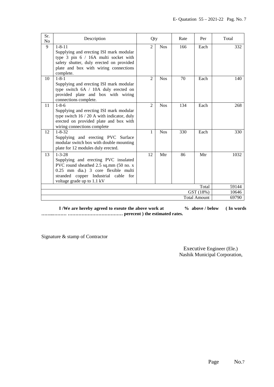| Sr.<br>N <sub>o</sub>            | Description                                                                                                                                                                                                 | Qty                         |            | Rate           | Per   | Total |
|----------------------------------|-------------------------------------------------------------------------------------------------------------------------------------------------------------------------------------------------------------|-----------------------------|------------|----------------|-------|-------|
| 9                                | $1 - 8 - 11$<br>Supplying and erecting ISI mark modular<br>type 3 pin 6 / 16A multi socket with<br>safety shutter, duly erected on provided<br>plate and box with wiring connections<br>complete.           | $\mathcal{D}_{\mathcal{L}}$ | <b>Nos</b> | 166            | Each  | 332   |
| 10                               | $1 - 8 - 1$<br>Supplying and erecting ISI mark modular<br>type switch 6A / 10A duly erected on<br>provided plate and box with wiring<br>connections complete.                                               | $\mathcal{D}_{\alpha}$      | <b>Nos</b> | 70             | Each  | 140   |
| 11                               | $1 - 8 - 6$<br>Supplying and erecting ISI mark modular<br>type switch $16 / 20$ A with indicator, duly<br>erected on provided plate and box with<br>wiring connections complete                             | $\mathcal{D}_{\alpha}$      | <b>Nos</b> | 134            | Each  | 268   |
| 12                               | $1 - 8 - 32$<br>Supplying and erecting PVC Surface<br>modular switch box with double mounting<br>plate for 12 modules duly erected.                                                                         | 1                           | <b>Nos</b> | 330            | Each  | 330   |
| 13                               | $1 - 3 - 28$<br>Supplying and erecting PVC insulated<br>PVC round sheathed 2.5 sq.mm (50 no. x<br>0.25 mm dia.) 3 core flexible multi<br>stranded copper Industrial cable for<br>voltage grade up to 1.1 kV | 12                          | Mtr        | 86             | Mtr   | 1032  |
| Total                            |                                                                                                                                                                                                             |                             |            |                | 59144 |       |
| GST (18%)<br><b>Total Amount</b> |                                                                                                                                                                                                             |                             |            | 10646<br>69790 |       |       |
|                                  |                                                                                                                                                                                                             |                             |            |                |       |       |

**I** /We are hereby agreed to exeute the above work at  $\%$  above / below (In words **……..……… ……………………………… perecent ) the estimated rates.** 

Signature & stamp of Contractor

 Executive Engineer (Ele.) Nashik Municipal Corporation,